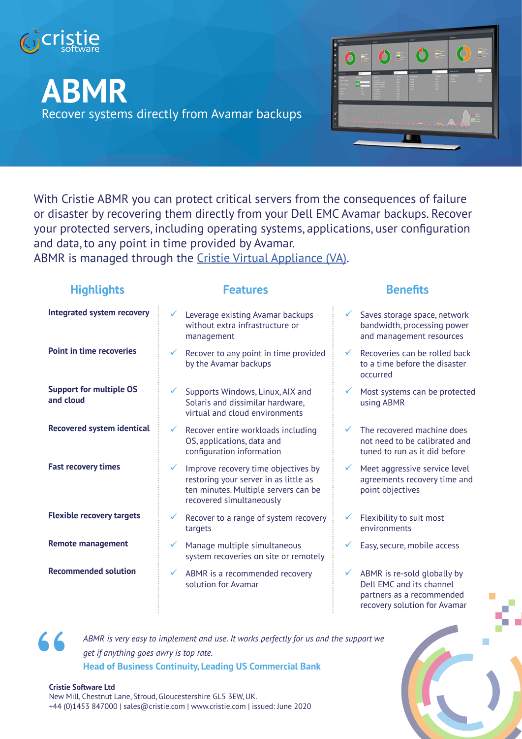

# **ABMR** Recover systems directly from Avamar backups



With Cristie ABMR you can protect critical servers from the consequences of failure or disaster by recovering them directly from your Dell EMC Avamar backups. Recover your protected servers, including operating systems, applications, user configuration and data, to any point in time provided by Avamar.

ABMR is managed through the Cristie Virtual Appliance (VA).

| <b>Highlights</b>                           | <b>Features</b>                                                                                                                                                  | <b>Benefits</b>                                                                                                                      |
|---------------------------------------------|------------------------------------------------------------------------------------------------------------------------------------------------------------------|--------------------------------------------------------------------------------------------------------------------------------------|
| <b>Integrated system recovery</b>           | Leverage existing Avamar backups<br>without extra infrastructure or<br>management                                                                                | Saves storage space, network<br>bandwidth, processing power<br>and management resources                                              |
| <b>Point in time recoveries</b>             | Recover to any point in time provided<br>$\checkmark$<br>by the Avamar backups                                                                                   | Recoveries can be rolled back<br>$\checkmark$<br>to a time before the disaster<br>occurred                                           |
| <b>Support for multiple OS</b><br>and cloud | Supports Windows, Linux, AIX and<br>Solaris and dissimilar hardware,<br>virtual and cloud environments                                                           | Most systems can be protected<br>✓<br>using ABMR                                                                                     |
| <b>Recovered system identical</b>           | Recover entire workloads including<br>$\checkmark$<br>OS, applications, data and<br>configuration information                                                    | The recovered machine does<br>not need to be calibrated and<br>tuned to run as it did before                                         |
| <b>Fast recovery times</b>                  | Improve recovery time objectives by<br>$\checkmark$<br>restoring your server in as little as<br>ten minutes. Multiple servers can be<br>recovered simultaneously | Meet aggressive service level<br>$\checkmark$<br>agreements recovery time and<br>point objectives                                    |
| <b>Flexible recovery targets</b>            | Recover to a range of system recovery<br>targets                                                                                                                 | Flexibility to suit most<br>environments                                                                                             |
| <b>Remote management</b>                    | Manage multiple simultaneous<br>$\checkmark$<br>system recoveries on site or remotely                                                                            | Easy, secure, mobile access                                                                                                          |
| <b>Recommended solution</b>                 | ABMR is a recommended recovery<br>✓<br>solution for Avamar                                                                                                       | ABMR is re-sold globally by<br>$\checkmark$<br>Dell EMC and its channel<br>partners as a recommended<br>recovery solution for Avamar |



*ABMR is very easy to implement and use. It works perfectly for us and the support we get if anything goes awry is top rate.* **Head of Business Continuity, Leading US Commercial Bank**

#### **Cristie Software Ltd**

New Mill, Chestnut Lane, Stroud, Gloucestershire GL5 3EW, UK. +44 (0)1453 847000 | sales@cristie.com | www.cristie.com | issued: June 2020